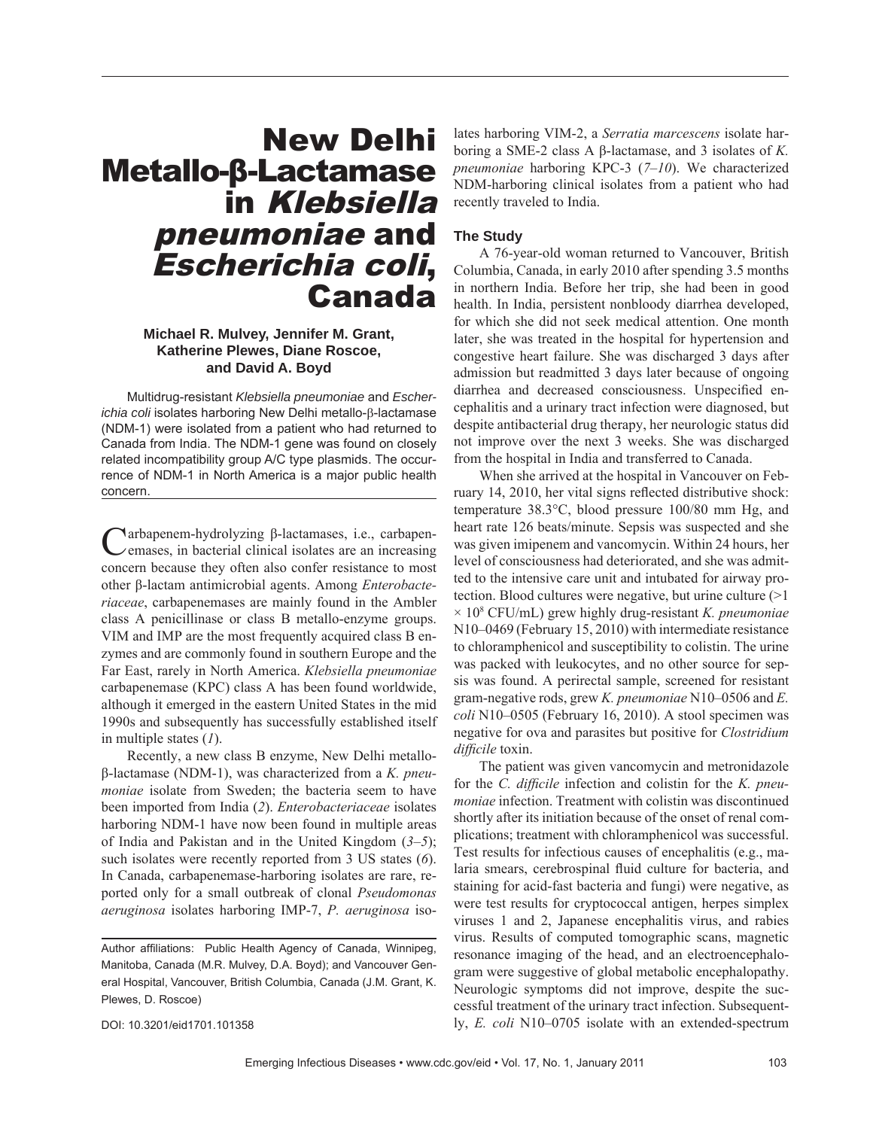# New Delhi Metallo-β-Lactamase in Klebsiella pneumoniae and Escherichia coli, Canada

## **Michael R. Mulvey, Jennifer M. Grant, Katherine Plewes, Diane Roscoe, and David A. Boyd**

Multidrug-resistant *Klebsiella pneumoniae* and *Escherichia coli* isolates harboring New Delhi metallo-β-lactamase (NDM-1) were isolated from a patient who had returned to Canada from India. The NDM-1 gene was found on closely related incompatibility group A/C type plasmids. The occurrence of NDM-1 in North America is a major public health concern.

Narbapenem-hydrolyzing β-lactamases, i.e., carbapenemases, in bacterial clinical isolates are an increasing concern because they often also confer resistance to most other β-lactam antimicrobial agents. Among *Enterobacteriaceae*, carbapenemases are mainly found in the Ambler class A penicillinase or class B metallo-enzyme groups. VIM and IMP are the most frequently acquired class B enzymes and are commonly found in southern Europe and the Far East, rarely in North America. *Klebsiella pneumoniae* carbapenemase (KPC) class A has been found worldwide, although it emerged in the eastern United States in the mid 1990s and subsequently has successfully established itself in multiple states (*1*).

Recently, a new class B enzyme, New Delhi metalloβ-lactamase (NDM-1), was characterized from a *K. pneumoniae* isolate from Sweden; the bacteria seem to have been imported from India (*2*). *Enterobacteriaceae* isolates harboring NDM-1 have now been found in multiple areas of India and Pakistan and in the United Kingdom (*3*–*5*); such isolates were recently reported from 3 US states (*6*). In Canada, carbapenemase-harboring isolates are rare, reported only for a small outbreak of clonal *Pseudomonas aeruginosa* isolates harboring IMP-7, *P. aeruginosa* iso-

DOI: 10.3201/eid1701.101358

lates harboring VIM-2, a *Serratia marcescens* isolate harboring a SME-2 class A β-lactamase, and 3 isolates of *K. pneumoniae* harboring KPC-3 (*7*–*10*). We characterized NDM-harboring clinical isolates from a patient who had recently traveled to India.

## **The Study**

A 76-year-old woman returned to Vancouver, British Columbia, Canada, in early 2010 after spending 3.5 months in northern India. Before her trip, she had been in good health. In India, persistent nonbloody diarrhea developed, for which she did not seek medical attention. One month later, she was treated in the hospital for hypertension and congestive heart failure. She was discharged 3 days after admission but readmitted 3 days later because of ongoing diarrhea and decreased consciousness. Unspecified encephalitis and a urinary tract infection were diagnosed, but despite antibacterial drug therapy, her neurologic status did not improve over the next 3 weeks. She was discharged from the hospital in India and transferred to Canada.

When she arrived at the hospital in Vancouver on February 14, 2010, her vital signs reflected distributive shock: temperature 38.3°C, blood pressure 100/80 mm Hg, and heart rate 126 beats/minute. Sepsis was suspected and she was given imipenem and vancomycin. Within 24 hours, her level of consciousness had deteriorated, and she was admitted to the intensive care unit and intubated for airway protection. Blood cultures were negative, but urine culture (>1 × 108 CFU/mL) grew highly drug-resistant *K. pneumoniae* N10–0469 (February 15, 2010) with intermediate resistance to chloramphenicol and susceptibility to colistin. The urine was packed with leukocytes, and no other source for sepsis was found. A perirectal sample, screened for resistant gram-negative rods, grew *K. pneumoniae* N10–0506 and *E. coli* N10–0505 (February 16, 2010). A stool specimen was negative for ova and parasites but positive for *Clostridium difficile* toxin.

The patient was given vancomycin and metronidazole for the *C. difficile* infection and colistin for the *K. pneumoniae* infection. Treatment with colistin was discontinued shortly after its initiation because of the onset of renal complications; treatment with chloramphenicol was successful. Test results for infectious causes of encephalitis (e.g., malaria smears, cerebrospinal fluid culture for bacteria, and staining for acid-fast bacteria and fungi) were negative, as were test results for cryptococcal antigen, herpes simplex viruses 1 and 2, Japanese encephalitis virus, and rabies virus. Results of computed tomographic scans, magnetic resonance imaging of the head, and an electroencephalogram were suggestive of global metabolic encephalopathy. Neurologic symptoms did not improve, despite the successful treatment of the urinary tract infection. Subsequently, *E. coli* N10–0705 isolate with an extended-spectrum

Author affiliations: Public Health Agency of Canada, Winnipeg, Manitoba, Canada (M.R. Mulvey, D.A. Boyd); and Vancouver General Hospital, Vancouver, British Columbia, Canada (J.M. Grant, K. Plewes, D. Roscoe)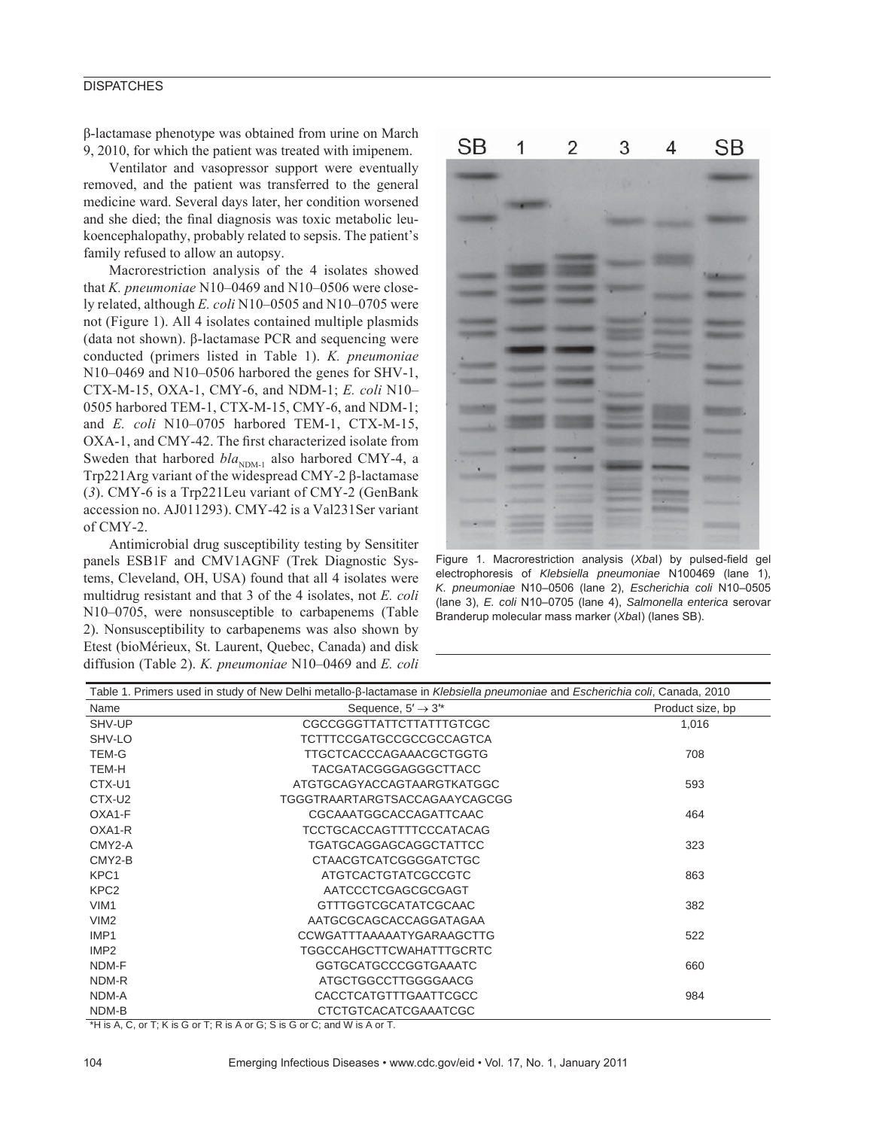## **DISPATCHES**

β-lactamase phenotype was obtained from urine on March 9, 2010, for which the patient was treated with imipenem.

Ventilator and vasopressor support were eventually removed, and the patient was transferred to the general medicine ward. Several days later, her condition worsened and she died; the final diagnosis was toxic metabolic leukoencephalopathy, probably related to sepsis. The patient's family refused to allow an autopsy.

Macrorestriction analysis of the 4 isolates showed that *K. pneumoniae* N10–0469 and N10–0506 were closely related, although *E. coli* N10–0505 and N10–0705 were not (Figure 1). All 4 isolates contained multiple plasmids (data not shown). β-lactamase PCR and sequencing were conducted (primers listed in Table 1). *K. pneumoniae* N10–0469 and N10–0506 harbored the genes for SHV-1, CTX-M-15, OXA-1, CMY-6, and NDM-1; *E. coli* N10– 0505 harbored TEM-1, CTX-M-15, CMY-6, and NDM-1; and *E. coli* N10–0705 harbored TEM-1, CTX-M-15, OXA-1, and CMY-42. The first characterized isolate from Sweden that harbored  $bla_{NDM-1}$  also harbored CMY-4, a Trp221Arg variant of the widespread CMY-2 β-lactamase (*3*). CMY-6 is a Trp221Leu variant of CMY-2 (GenBank accession no. AJ011293). CMY-42 is a Val231Ser variant of CMY-2.

Antimicrobial drug susceptibility testing by Sensititer panels ESB1F and CMV1AGNF (Trek Diagnostic Systems, Cleveland, OH, USA) found that all 4 isolates were multidrug resistant and that 3 of the 4 isolates, not *E. coli* N10–0705, were nonsusceptible to carbapenems (Table 2). Nonsusceptibility to carbapenems was also shown by Etest (bioMérieux, St. Laurent, Quebec, Canada) and disk diffusion (Table 2). *K. pneumoniae* N10–0469 and *E. coli*



Figure 1. Macrorestriction analysis (Xbal) by pulsed-field gel electrophoresis of *Klebsiella pneumoniae* N100469 (lane 1), *K. pneumoniae* N10–0506 (lane 2), *Escherichia coli* N10–0505 (lane 3), *E. coli* N10–0705 (lane 4), *Salmonella enterica* serovar Branderup molecular mass marker (*Xba*I) (lanes SB).

| Table 1. Primers used in study of New Delhi metallo-ß-lactamase in Klebsiella pneumoniae and Escherichia coli, Canada, 2010 |                                 |                  |  |  |
|-----------------------------------------------------------------------------------------------------------------------------|---------------------------------|------------------|--|--|
| Name                                                                                                                        | Sequence, $5' \rightarrow 3''$  | Product size, bp |  |  |
| SHV-UP                                                                                                                      | <b>CGCCGGGTTATTCTTATTTGTCGC</b> | 1,016            |  |  |
| SHV-LO                                                                                                                      | TCTTTCCGATGCCGCCGCCAGTCA        |                  |  |  |
| <b>TEM-G</b>                                                                                                                | TTGCTCACCCAGAAACGCTGGTG         | 708              |  |  |
| TEM-H                                                                                                                       | TACGATACGGGAGGGCTTACC           |                  |  |  |
| CTX-U1                                                                                                                      | ATGTGCAGYACCAGTAARGTKATGGC      | 593              |  |  |
| CTX-U2                                                                                                                      | TGGGTRAARTARGTSACCAGAAYCAGCGG   |                  |  |  |
| OXA1-F                                                                                                                      | CGCAAATGGCACCAGATTCAAC          | 464              |  |  |
| OXA1-R                                                                                                                      | TCCTGCACCAGTTTTCCCATACAG        |                  |  |  |
| CMY2-A                                                                                                                      | TGATGCAGGAGCAGGCTATTCC          | 323              |  |  |
| CMY2-B                                                                                                                      | <b>CTAACGTCATCGGGGATCTGC</b>    |                  |  |  |
| KPC1                                                                                                                        | ATGTCACTGTATCGCCGTC             | 863              |  |  |
| KPC <sub>2</sub>                                                                                                            | AATCCCTCGAGCGCGAGT              |                  |  |  |
| VIM <sub>1</sub>                                                                                                            | <b>GTTTGGTCGCATATCGCAAC</b>     | 382              |  |  |
| VIM <sub>2</sub>                                                                                                            | AATGCGCAGCACCAGGATAGAA          |                  |  |  |
| IMP <sub>1</sub>                                                                                                            | CCWGATTTAAAAATYGARAAGCTTG       | 522              |  |  |
| IMP <sub>2</sub>                                                                                                            | TGGCCAHGCTTCWAHATTTGCRTC        |                  |  |  |
| NDM-F                                                                                                                       | GGTGCATGCCCGGTGAAATC            | 660              |  |  |
| NDM-R                                                                                                                       | ATGCTGGCCTTGGGGAACG             |                  |  |  |
| NDM-A                                                                                                                       | <b>CACCTCATGTTTGAATTCGCC</b>    | 984              |  |  |
| NDM-B                                                                                                                       | <b>CTCTGTCACATCGAAATCGC</b>     |                  |  |  |

\*H is A, C, or T; K is G or T; R is A or G; S is G or C; and W is A or T.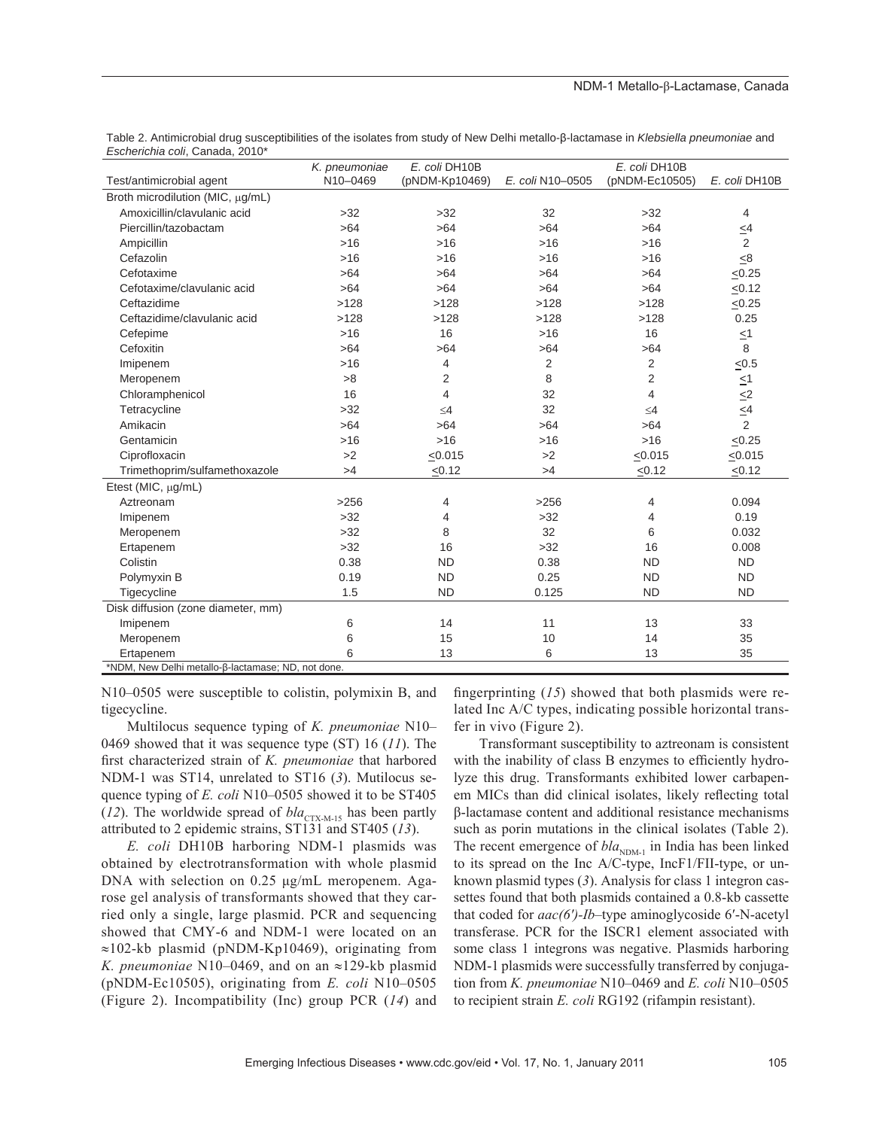|                                                    | K. pneumoniae | E. coli DH10B  |                  | E. coli DH10B  |                |  |
|----------------------------------------------------|---------------|----------------|------------------|----------------|----------------|--|
| Test/antimicrobial agent                           | N10-0469      | (pNDM-Kp10469) | E. coli N10-0505 | (pNDM-Ec10505) | E. coli DH10B  |  |
| Broth microdilution (MIC, µg/mL)                   |               |                |                  |                |                |  |
| Amoxicillin/clavulanic acid                        | >32           | $>32$          | 32               | $>32$          | 4              |  |
| Piercillin/tazobactam                              | >64           | >64            | >64              | >64            | $\leq$ 4       |  |
| Ampicillin                                         | $>16$         | $>16$          | $>16$            | $>16$          | 2              |  |
| Cefazolin                                          | $>16$         | $>16$          | $>16$            | $>16$          | $\leq 8$       |  |
| Cefotaxime                                         | >64           | >64            | >64              | >64            | < 0.25         |  |
| Cefotaxime/clavulanic acid                         | >64           | >64            | >64              | >64            | $\leq 0.12$    |  |
| Ceftazidime                                        | >128          | >128           | >128             | >128           | $\leq 0.25$    |  |
| Ceftazidime/clavulanic acid                        | >128          | >128           | >128             | >128           | 0.25           |  |
| Cefepime                                           | $>16$         | 16             | $>16$            | 16             | $\leq 1$       |  |
| Cefoxitin                                          | >64           | $>64$          | >64              | >64            | 8              |  |
| Imipenem                                           | $>16$         | 4              | 2                | 2              | $≤0.5$         |  |
| Meropenem                                          | >8            | 2              | 8                | $\overline{2}$ | $\leq$ 1       |  |
| Chloramphenicol                                    | 16            | 4              | 32               | $\overline{4}$ | $\leq$ 2       |  |
| Tetracycline                                       | >32           | $\leq 4$       | 32               | $\leq 4$       | $\leq4$        |  |
| Amikacin                                           | >64           | $>64$          | >64              | >64            | $\overline{2}$ |  |
| Gentamicin                                         | $>16$         | $>16$          | $>16$            | $>16$          | $\leq 0.25$    |  |
| Ciprofloxacin                                      | >2            | < 0.015        | >2               | < 0.015        | < 0.015        |  |
| Trimethoprim/sulfamethoxazole                      | >4            | < 0.12         | >4               | < 0.12         | < 0.12         |  |
| Etest (MIC, µg/mL)                                 |               |                |                  |                |                |  |
| Aztreonam                                          | >256          | 4              | >256             | $\overline{4}$ | 0.094          |  |
| Imipenem                                           | $>32$         | 4              | >32              | 4              | 0.19           |  |
| Meropenem                                          | >32           | 8              | 32               | 6              | 0.032          |  |
| Ertapenem                                          | $>32$         | 16             | >32              | 16             | 0.008          |  |
| Colistin                                           | 0.38          | <b>ND</b>      | 0.38             | <b>ND</b>      | <b>ND</b>      |  |
| Polymyxin B                                        | 0.19          | <b>ND</b>      | 0.25             | <b>ND</b>      | <b>ND</b>      |  |
| Tigecycline                                        | 1.5           | <b>ND</b>      | 0.125            | <b>ND</b>      | <b>ND</b>      |  |
| Disk diffusion (zone diameter, mm)                 |               |                |                  |                |                |  |
| Imipenem                                           | 6             | 14             | 11               | 13             | 33             |  |
| Meropenem                                          | 6             | 15             | 10               | 14             | 35             |  |
| Ertapenem                                          | 6             | 13             | 6                | 13             | 35             |  |
| *NDM, New Delhi metallo-β-lactamase; ND, not done. |               |                |                  |                |                |  |

Table 2. Antimicrobial drug susceptibilities of the isolates from study of New Delhi metallo-ß-lactamase in *Klebsiella pneumoniae* and *Escherichia coli*, Canada, 2010\*

N10–0505 were susceptible to colistin, polymixin B, and tigecycline.

Multilocus sequence typing of *K. pneumoniae* N10– 0469 showed that it was sequence type (ST) 16 (*11*). The first characterized strain of *K. pneumoniae* that harbored NDM-1 was ST14, unrelated to ST16 (*3*). Mutilocus sequence typing of *E. coli* N10–0505 showed it to be ST405 (12). The worldwide spread of  $bla_{\text{CTX-M-15}}$  has been partly attributed to 2 epidemic strains, ST131 and ST405 (*13*).

*E. coli* DH10B harboring NDM-1 plasmids was obtained by electrotransformation with whole plasmid DNA with selection on 0.25 μg/mL meropenem. Agarose gel analysis of transformants showed that they carried only a single, large plasmid. PCR and sequencing showed that CMY-6 and NDM-1 were located on an ≈102-kb plasmid (pNDM-Kp10469), originating from *K. pneumoniae* N10–0469, and on an ≈129-kb plasmid (pNDM-Ec10505), originating from *E. coli* N10–0505 (Figure 2). Incompatibility (Inc) group PCR (*14*) and

fingerprinting  $(15)$  showed that both plasmids were related Inc A/C types, indicating possible horizontal transfer in vivo (Figure 2).

Transformant susceptibility to aztreonam is consistent with the inability of class B enzymes to efficiently hydrolyze this drug. Transformants exhibited lower carbapenem MICs than did clinical isolates, likely reflecting total β-lactamase content and additional resistance mechanisms such as porin mutations in the clinical isolates (Table 2). The recent emergence of  $bla_{NDM-1}$  in India has been linked to its spread on the Inc A/C-type, IncF1/FII-type, or unknown plasmid types (*3*). Analysis for class 1 integron cassettes found that both plasmids contained a 0.8-kb cassette that coded for *aac(6′)-Ib*–type aminoglycoside 6′-N-acetyl transferase. PCR for the ISCR1 element associated with some class 1 integrons was negative. Plasmids harboring NDM-1 plasmids were successfully transferred by conjugation from *K. pneumoniae* N10–0469 and *E. coli* N10–0505 to recipient strain *E. coli* RG192 (rifampin resistant).